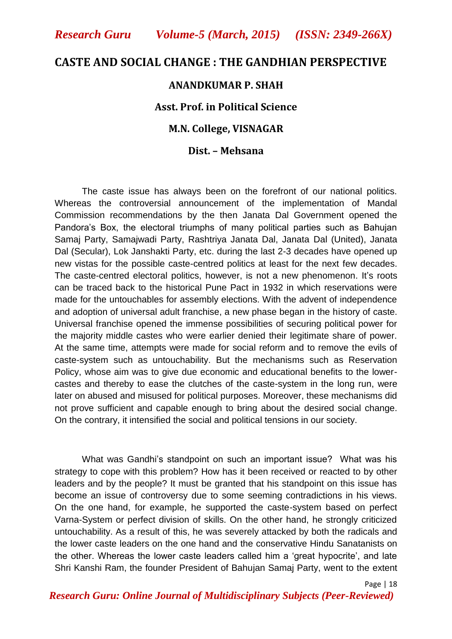## **CASTE AND SOCIAL CHANGE : THE GANDHIAN PERSPECTIVE**

#### **ANANDKUMAR P. SHAH**

## **Asst. Prof. in Political Science**

#### **M.N. College, VISNAGAR**

#### **Dist. – Mehsana**

The caste issue has always been on the forefront of our national politics. Whereas the controversial announcement of the implementation of Mandal Commission recommendations by the then Janata Dal Government opened the Pandora"s Box, the electoral triumphs of many political parties such as Bahujan Samaj Party, Samajwadi Party, Rashtriya Janata Dal, Janata Dal (United), Janata Dal (Secular), Lok Janshakti Party, etc. during the last 2-3 decades have opened up new vistas for the possible caste-centred politics at least for the next few decades. The caste-centred electoral politics, however, is not a new phenomenon. It's roots can be traced back to the historical Pune Pact in 1932 in which reservations were made for the untouchables for assembly elections. With the advent of independence and adoption of universal adult franchise, a new phase began in the history of caste. Universal franchise opened the immense possibilities of securing political power for the majority middle castes who were earlier denied their legitimate share of power. At the same time, attempts were made for social reform and to remove the evils of caste-system such as untouchability. But the mechanisms such as Reservation Policy, whose aim was to give due economic and educational benefits to the lowercastes and thereby to ease the clutches of the caste-system in the long run, were later on abused and misused for political purposes. Moreover, these mechanisms did not prove sufficient and capable enough to bring about the desired social change. On the contrary, it intensified the social and political tensions in our society.

What was Gandhi"s standpoint on such an important issue? What was his strategy to cope with this problem? How has it been received or reacted to by other leaders and by the people? It must be granted that his standpoint on this issue has become an issue of controversy due to some seeming contradictions in his views. On the one hand, for example, he supported the caste-system based on perfect Varna-System or perfect division of skills. On the other hand, he strongly criticized untouchability. As a result of this, he was severely attacked by both the radicals and the lower caste leaders on the one hand and the conservative Hindu Sanatanists on the other. Whereas the lower caste leaders called him a "great hypocrite", and late Shri Kanshi Ram, the founder President of Bahujan Samaj Party, went to the extent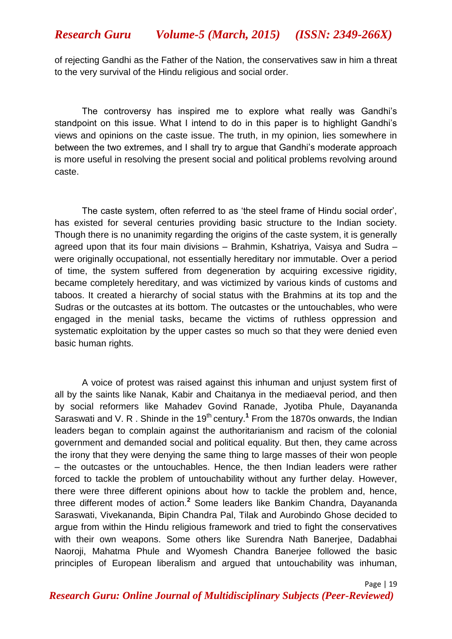of rejecting Gandhi as the Father of the Nation, the conservatives saw in him a threat to the very survival of the Hindu religious and social order.

The controversy has inspired me to explore what really was Gandhi"s standpoint on this issue. What I intend to do in this paper is to highlight Gandhi"s views and opinions on the caste issue. The truth, in my opinion, lies somewhere in between the two extremes, and I shall try to argue that Gandhi"s moderate approach is more useful in resolving the present social and political problems revolving around caste.

The caste system, often referred to as "the steel frame of Hindu social order", has existed for several centuries providing basic structure to the Indian society. Though there is no unanimity regarding the origins of the caste system, it is generally agreed upon that its four main divisions – Brahmin, Kshatriya, Vaisya and Sudra – were originally occupational, not essentially hereditary nor immutable. Over a period of time, the system suffered from degeneration by acquiring excessive rigidity, became completely hereditary, and was victimized by various kinds of customs and taboos. It created a hierarchy of social status with the Brahmins at its top and the Sudras or the outcastes at its bottom. The outcastes or the untouchables, who were engaged in the menial tasks, became the victims of ruthless oppression and systematic exploitation by the upper castes so much so that they were denied even basic human rights.

A voice of protest was raised against this inhuman and unjust system first of all by the saints like Nanak, Kabir and Chaitanya in the mediaeval period, and then by social reformers like Mahadev Govind Ranade, Jyotiba Phule, Dayananda Saraswati and V. R. Shinde in the 19<sup>th</sup> century.<sup>1</sup> From the 1870s onwards, the Indian leaders began to complain against the authoritarianism and racism of the colonial government and demanded social and political equality. But then, they came across the irony that they were denying the same thing to large masses of their won people – the outcastes or the untouchables. Hence, the then Indian leaders were rather forced to tackle the problem of untouchability without any further delay. However, there were three different opinions about how to tackle the problem and, hence, three different modes of action.**<sup>2</sup>** Some leaders like Bankim Chandra, Dayananda Saraswati, Vivekananda, Bipin Chandra Pal, Tilak and Aurobindo Ghose decided to argue from within the Hindu religious framework and tried to fight the conservatives with their own weapons. Some others like Surendra Nath Banerjee, Dadabhai Naoroji, Mahatma Phule and Wyomesh Chandra Banerjee followed the basic principles of European liberalism and argued that untouchability was inhuman,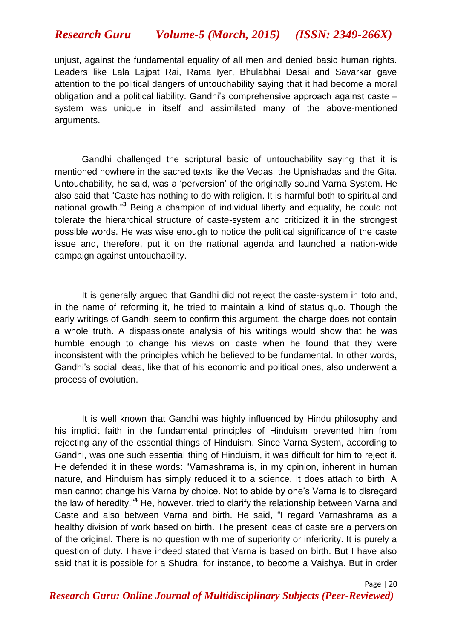unjust, against the fundamental equality of all men and denied basic human rights. Leaders like Lala Lajpat Rai, Rama Iyer, Bhulabhai Desai and Savarkar gave attention to the political dangers of untouchability saying that it had become a moral obligation and a political liability. Gandhi"s comprehensive approach against caste – system was unique in itself and assimilated many of the above-mentioned arguments.

Gandhi challenged the scriptural basic of untouchability saying that it is mentioned nowhere in the sacred texts like the Vedas, the Upnishadas and the Gita. Untouchability, he said, was a "perversion" of the originally sound Varna System. He also said that "Caste has nothing to do with religion. It is harmful both to spiritual and national growth."**<sup>3</sup>** Being a champion of individual liberty and equality, he could not tolerate the hierarchical structure of caste-system and criticized it in the strongest possible words. He was wise enough to notice the political significance of the caste issue and, therefore, put it on the national agenda and launched a nation-wide campaign against untouchability.

It is generally argued that Gandhi did not reject the caste-system in toto and, in the name of reforming it, he tried to maintain a kind of status quo. Though the early writings of Gandhi seem to confirm this argument, the charge does not contain a whole truth. A dispassionate analysis of his writings would show that he was humble enough to change his views on caste when he found that they were inconsistent with the principles which he believed to be fundamental. In other words, Gandhi"s social ideas, like that of his economic and political ones, also underwent a process of evolution.

It is well known that Gandhi was highly influenced by Hindu philosophy and his implicit faith in the fundamental principles of Hinduism prevented him from rejecting any of the essential things of Hinduism. Since Varna System, according to Gandhi, was one such essential thing of Hinduism, it was difficult for him to reject it. He defended it in these words: "Varnashrama is, in my opinion, inherent in human nature, and Hinduism has simply reduced it to a science. It does attach to birth. A man cannot change his Varna by choice. Not to abide by one"s Varna is to disregard the law of heredity."**<sup>4</sup>** He, however, tried to clarify the relationship between Varna and Caste and also between Varna and birth. He said, "I regard Varnashrama as a healthy division of work based on birth. The present ideas of caste are a perversion of the original. There is no question with me of superiority or inferiority. It is purely a question of duty. I have indeed stated that Varna is based on birth. But I have also said that it is possible for a Shudra, for instance, to become a Vaishya. But in order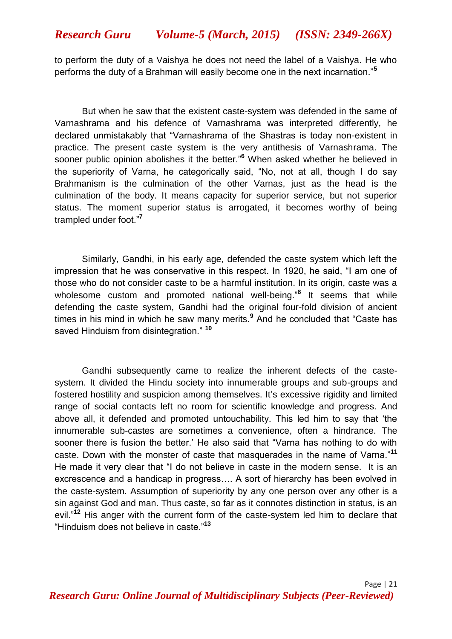to perform the duty of a Vaishya he does not need the label of a Vaishya. He who performs the duty of a Brahman will easily become one in the next incarnation."**<sup>5</sup>**

But when he saw that the existent caste-system was defended in the same of Varnashrama and his defence of Varnashrama was interpreted differently, he declared unmistakably that "Varnashrama of the Shastras is today non-existent in practice. The present caste system is the very antithesis of Varnashrama. The sooner public opinion abolishes it the better." **<sup>6</sup>** When asked whether he believed in the superiority of Varna, he categorically said, "No, not at all, though I do say Brahmanism is the culmination of the other Varnas, just as the head is the culmination of the body. It means capacity for superior service, but not superior status. The moment superior status is arrogated, it becomes worthy of being trampled under foot."**<sup>7</sup>**

Similarly, Gandhi, in his early age, defended the caste system which left the impression that he was conservative in this respect. In 1920, he said, "I am one of those who do not consider caste to be a harmful institution. In its origin, caste was a wholesome custom and promoted national well-being." **8** It seems that while defending the caste system, Gandhi had the original four-fold division of ancient times in his mind in which he saw many merits.**<sup>9</sup>** And he concluded that "Caste has saved Hinduism from disintegration." **<sup>10</sup>**

Gandhi subsequently came to realize the inherent defects of the castesystem. It divided the Hindu society into innumerable groups and sub-groups and fostered hostility and suspicion among themselves. It's excessive rigidity and limited range of social contacts left no room for scientific knowledge and progress. And above all, it defended and promoted untouchability. This led him to say that "the innumerable sub-castes are sometimes a convenience, often a hindrance. The sooner there is fusion the better." He also said that "Varna has nothing to do with caste. Down with the monster of caste that masquerades in the name of Varna."**<sup>11</sup>** He made it very clear that "I do not believe in caste in the modern sense. It is an excrescence and a handicap in progress…. A sort of hierarchy has been evolved in the caste-system. Assumption of superiority by any one person over any other is a sin against God and man. Thus caste, so far as it connotes distinction in status, is an evil."<sup>12</sup> His anger with the current form of the caste-system led him to declare that "Hinduism does not believe in caste."**<sup>13</sup>**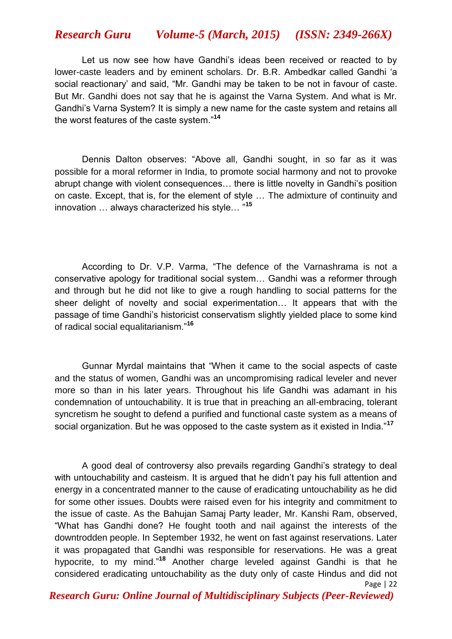Let us now see how have Gandhi"s ideas been received or reacted to by lower-caste leaders and by eminent scholars. Dr. B.R. Ambedkar called Gandhi "a social reactionary" and said, "Mr. Gandhi may be taken to be not in favour of caste. But Mr. Gandhi does not say that he is against the Varna System. And what is Mr. Gandhi"s Varna System? It is simply a new name for the caste system and retains all the worst features of the caste system."**<sup>14</sup>**

Dennis Dalton observes: "Above all, Gandhi sought, in so far as it was possible for a moral reformer in India, to promote social harmony and not to provoke abrupt change with violent consequences… there is little novelty in Gandhi"s position on caste. Except, that is, for the element of style … The admixture of continuity and innovation … always characterized his style… "**<sup>15</sup>**

According to Dr. V.P. Varma, "The defence of the Varnashrama is not a conservative apology for traditional social system… Gandhi was a reformer through and through but he did not like to give a rough handling to social patterns for the sheer delight of novelty and social experimentation… It appears that with the passage of time Gandhi"s historicist conservatism slightly yielded place to some kind of radical social equalitarianism."**<sup>16</sup>**

Gunnar Myrdal maintains that "When it came to the social aspects of caste and the status of women, Gandhi was an uncompromising radical leveler and never more so than in his later years. Throughout his life Gandhi was adamant in his condemnation of untouchability. It is true that in preaching an all-embracing, tolerant syncretism he sought to defend a purified and functional caste system as a means of social organization. But he was opposed to the caste system as it existed in India."**<sup>17</sup>**

Page | 22 A good deal of controversy also prevails regarding Gandhi"s strategy to deal with untouchability and casteism. It is argued that he didn't pay his full attention and energy in a concentrated manner to the cause of eradicating untouchability as he did for some other issues. Doubts were raised even for his integrity and commitment to the issue of caste. As the Bahujan Samaj Party leader, Mr. Kanshi Ram, observed, "What has Gandhi done? He fought tooth and nail against the interests of the downtrodden people. In September 1932, he went on fast against reservations. Later it was propagated that Gandhi was responsible for reservations. He was a great hypocrite, to my mind." **<sup>18</sup>** Another charge leveled against Gandhi is that he considered eradicating untouchability as the duty only of caste Hindus and did not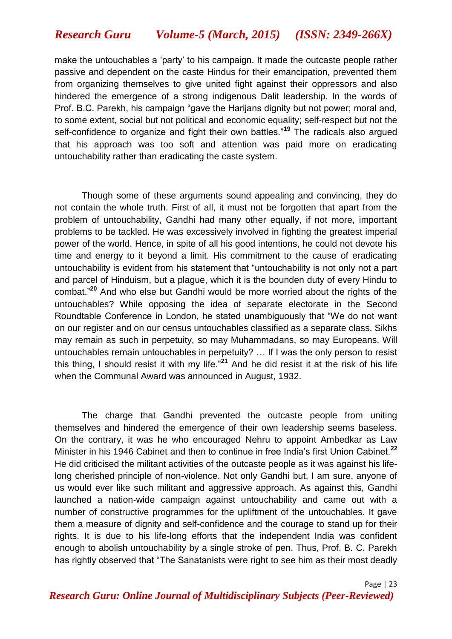make the untouchables a "party" to his campaign. It made the outcaste people rather passive and dependent on the caste Hindus for their emancipation, prevented them from organizing themselves to give united fight against their oppressors and also hindered the emergence of a strong indigenous Dalit leadership. In the words of Prof. B.C. Parekh, his campaign "gave the Harijans dignity but not power; moral and, to some extent, social but not political and economic equality; self-respect but not the self-confidence to organize and fight their own battles."**<sup>19</sup>** The radicals also argued that his approach was too soft and attention was paid more on eradicating untouchability rather than eradicating the caste system.

Though some of these arguments sound appealing and convincing, they do not contain the whole truth. First of all, it must not be forgotten that apart from the problem of untouchability, Gandhi had many other equally, if not more, important problems to be tackled. He was excessively involved in fighting the greatest imperial power of the world. Hence, in spite of all his good intentions, he could not devote his time and energy to it beyond a limit. His commitment to the cause of eradicating untouchability is evident from his statement that "untouchability is not only not a part and parcel of Hinduism, but a plague, which it is the bounden duty of every Hindu to combat." **<sup>20</sup>** And who else but Gandhi would be more worried about the rights of the untouchables? While opposing the idea of separate electorate in the Second Roundtable Conference in London, he stated unambiguously that "We do not want on our register and on our census untouchables classified as a separate class. Sikhs may remain as such in perpetuity, so may Muhammadans, so may Europeans. Will untouchables remain untouchables in perpetuity? … If I was the only person to resist this thing, I should resist it with my life."**<sup>21</sup>** And he did resist it at the risk of his life when the Communal Award was announced in August, 1932.

The charge that Gandhi prevented the outcaste people from uniting themselves and hindered the emergence of their own leadership seems baseless. On the contrary, it was he who encouraged Nehru to appoint Ambedkar as Law Minister in his 1946 Cabinet and then to continue in free India"s first Union Cabinet.**<sup>22</sup>** He did criticised the militant activities of the outcaste people as it was against his lifelong cherished principle of non-violence. Not only Gandhi but, I am sure, anyone of us would ever like such militant and aggressive approach. As against this, Gandhi launched a nation-wide campaign against untouchability and came out with a number of constructive programmes for the upliftment of the untouchables. It gave them a measure of dignity and self-confidence and the courage to stand up for their rights. It is due to his life-long efforts that the independent India was confident enough to abolish untouchability by a single stroke of pen. Thus, Prof. B. C. Parekh has rightly observed that "The Sanatanists were right to see him as their most deadly

*Research Guru: Online Journal of Multidisciplinary Subjects (Peer-Reviewed)*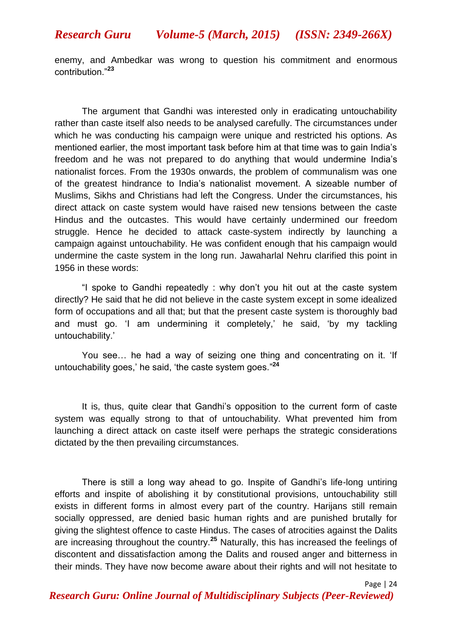enemy, and Ambedkar was wrong to question his commitment and enormous contribution."**<sup>23</sup>**

The argument that Gandhi was interested only in eradicating untouchability rather than caste itself also needs to be analysed carefully. The circumstances under which he was conducting his campaign were unique and restricted his options. As mentioned earlier, the most important task before him at that time was to gain India"s freedom and he was not prepared to do anything that would undermine India"s nationalist forces. From the 1930s onwards, the problem of communalism was one of the greatest hindrance to India"s nationalist movement. A sizeable number of Muslims, Sikhs and Christians had left the Congress. Under the circumstances, his direct attack on caste system would have raised new tensions between the caste Hindus and the outcastes. This would have certainly undermined our freedom struggle. Hence he decided to attack caste-system indirectly by launching a campaign against untouchability. He was confident enough that his campaign would undermine the caste system in the long run. Jawaharlal Nehru clarified this point in 1956 in these words:

"I spoke to Gandhi repeatedly : why don"t you hit out at the caste system directly? He said that he did not believe in the caste system except in some idealized form of occupations and all that; but that the present caste system is thoroughly bad and must go. 'I am undermining it completely,' he said, 'by my tackling untouchability.'

You see... he had a way of seizing one thing and concentrating on it. 'If untouchability goes," he said, "the caste system goes." **24**

It is, thus, quite clear that Gandhi"s opposition to the current form of caste system was equally strong to that of untouchability. What prevented him from launching a direct attack on caste itself were perhaps the strategic considerations dictated by the then prevailing circumstances.

There is still a long way ahead to go. Inspite of Gandhi"s life-long untiring efforts and inspite of abolishing it by constitutional provisions, untouchability still exists in different forms in almost every part of the country. Harijans still remain socially oppressed, are denied basic human rights and are punished brutally for giving the slightest offence to caste Hindus. The cases of atrocities against the Dalits are increasing throughout the country.**<sup>25</sup>** Naturally, this has increased the feelings of discontent and dissatisfaction among the Dalits and roused anger and bitterness in their minds. They have now become aware about their rights and will not hesitate to

Page | 24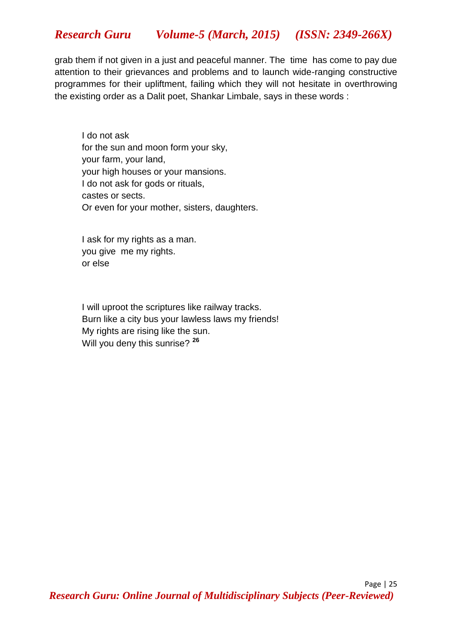grab them if not given in a just and peaceful manner. The time has come to pay due attention to their grievances and problems and to launch wide-ranging constructive programmes for their upliftment, failing which they will not hesitate in overthrowing the existing order as a Dalit poet, Shankar Limbale, says in these words :

I do not ask for the sun and moon form your sky, your farm, your land, your high houses or your mansions. I do not ask for gods or rituals, castes or sects. Or even for your mother, sisters, daughters.

I ask for my rights as a man. you give me my rights. or else

I will uproot the scriptures like railway tracks. Burn like a city bus your lawless laws my friends! My rights are rising like the sun. Will you deny this sunrise? **<sup>26</sup>**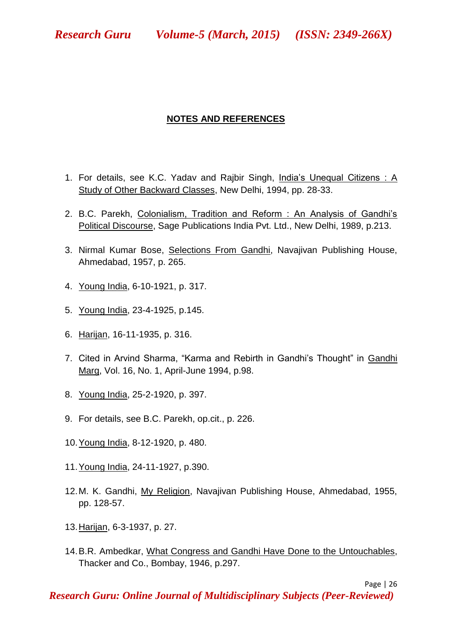## **NOTES AND REFERENCES**

- 1. For details, see K.C. Yadav and Rajbir Singh, India"s Unequal Citizens : A Study of Other Backward Classes, New Delhi, 1994, pp. 28-33.
- 2. B.C. Parekh, Colonialism, Tradition and Reform : An Analysis of Gandhi"s Political Discourse, Sage Publications India Pvt. Ltd., New Delhi, 1989, p.213.
- 3. Nirmal Kumar Bose, Selections From Gandhi, Navajivan Publishing House, Ahmedabad, 1957, p. 265.
- 4. Young India, 6-10-1921, p. 317.
- 5. Young India, 23-4-1925, p.145.
- 6. Harijan, 16-11-1935, p. 316.
- 7. Cited in Arvind Sharma, "Karma and Rebirth in Gandhi's Thought" in Gandhi Marg, Vol. 16, No. 1, April-June 1994, p.98.
- 8. Young India, 25-2-1920, p. 397.
- 9. For details, see B.C. Parekh, op.cit., p. 226.
- 10.Young India, 8-12-1920, p. 480.
- 11.Young India, 24-11-1927, p.390.
- 12.M. K. Gandhi, My Religion, Navajivan Publishing House, Ahmedabad, 1955, pp. 128-57.
- 13.Harijan, 6-3-1937, p. 27.
- 14.B.R. Ambedkar, What Congress and Gandhi Have Done to the Untouchables, Thacker and Co., Bombay, 1946, p.297.

Page | 26

*Research Guru: Online Journal of Multidisciplinary Subjects (Peer-Reviewed)*